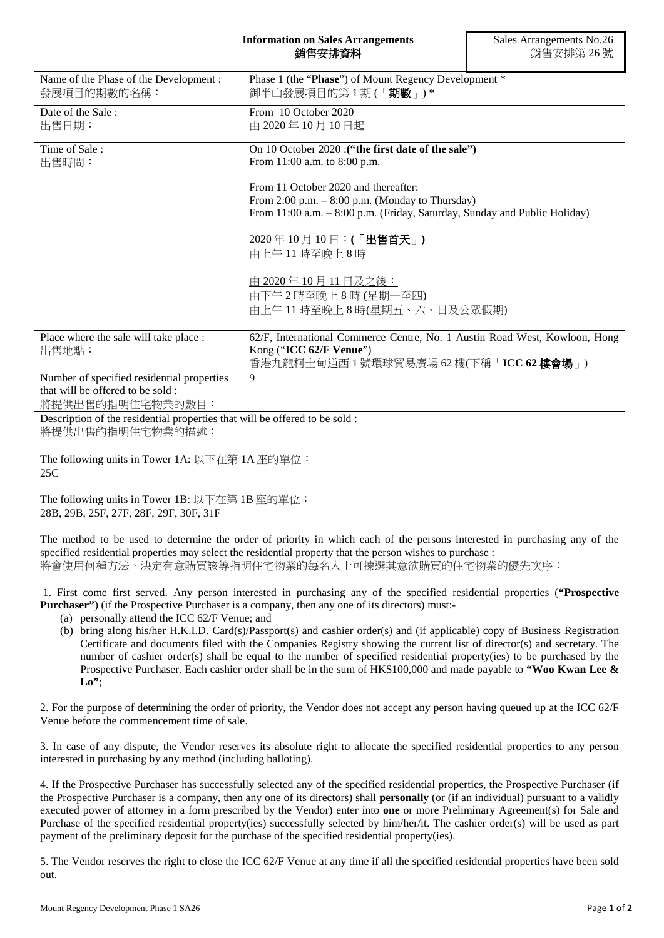## **Information on Sales Arrangements** 銷售安排資料

| Name of the Phase of the Development:<br>發展項目的期數的名稱:                                               | Phase 1 (the "Phase") of Mount Regency Development *<br>御半山發展項目的第1期(「期數」)*                                                                                                                                                                                                                                                                                                                                                                                                                                                                                                                                                                                                                                                                |  |
|----------------------------------------------------------------------------------------------------|-------------------------------------------------------------------------------------------------------------------------------------------------------------------------------------------------------------------------------------------------------------------------------------------------------------------------------------------------------------------------------------------------------------------------------------------------------------------------------------------------------------------------------------------------------------------------------------------------------------------------------------------------------------------------------------------------------------------------------------------|--|
| Date of the Sale:<br>出售日期:                                                                         | From 10 October 2020<br>由 2020年10月10日起                                                                                                                                                                                                                                                                                                                                                                                                                                                                                                                                                                                                                                                                                                    |  |
| Time of Sale:<br>出售時間:                                                                             | On 10 October 2020 : ("the first date of the sale")<br>From 11:00 a.m. to 8:00 p.m.                                                                                                                                                                                                                                                                                                                                                                                                                                                                                                                                                                                                                                                       |  |
|                                                                                                    | From 11 October 2020 and thereafter:<br>From 2:00 p.m. - 8:00 p.m. (Monday to Thursday)<br>From 11:00 a.m. - 8:00 p.m. (Friday, Saturday, Sunday and Public Holiday)                                                                                                                                                                                                                                                                                                                                                                                                                                                                                                                                                                      |  |
|                                                                                                    | $\frac{2020 \times 10 \times 10}{2000 \times 100}$ = : (「出售首天」)<br>由上午11時至晚上8時                                                                                                                                                                                                                                                                                                                                                                                                                                                                                                                                                                                                                                                            |  |
|                                                                                                    | 由 2020年10月11日及之後:<br>由下午2時至晚上8時(星期一至四)<br>由上午11時至晚上8時(星期五、六、日及公眾假期)                                                                                                                                                                                                                                                                                                                                                                                                                                                                                                                                                                                                                                                                       |  |
| Place where the sale will take place :<br>出售地點:                                                    | 62/F, International Commerce Centre, No. 1 Austin Road West, Kowloon, Hong<br>Kong ("ICC 62/F Venue")<br>香港九龍柯士甸道西1號環球貿易廣場 62 樓(下稱「ICC 62 樓會場」)                                                                                                                                                                                                                                                                                                                                                                                                                                                                                                                                                                                           |  |
| Number of specified residential properties<br>that will be offered to be sold:<br>將提供出售的指明住宅物業的數目: | 9                                                                                                                                                                                                                                                                                                                                                                                                                                                                                                                                                                                                                                                                                                                                         |  |
| Description of the residential properties that will be offered to be sold :<br>將提供出售的指明住宅物業的描述:    |                                                                                                                                                                                                                                                                                                                                                                                                                                                                                                                                                                                                                                                                                                                                           |  |
| The following units in Tower 1A: 以下在第 1A 座的單位:<br>25C                                              |                                                                                                                                                                                                                                                                                                                                                                                                                                                                                                                                                                                                                                                                                                                                           |  |
| The following units in Tower 1B: 以下在第 1B 座的單位:<br>28B, 29B, 25F, 27F, 28F, 29F, 30F, 31F           |                                                                                                                                                                                                                                                                                                                                                                                                                                                                                                                                                                                                                                                                                                                                           |  |
|                                                                                                    | The method to be used to determine the order of priority in which each of the persons interested in purchasing any of the<br>specified residential properties may select the residential property that the person wishes to purchase :<br>將會使用何種方法,決定有意購買該等指明住宅物業的每名人士可揀選其意欲購買的住宅物業的優先次序:                                                                                                                                                                                                                                                                                                                                                                                                                                                 |  |
| (a) personally attend the ICC 62/F Venue; and<br>Lo''                                              | 1. First come first served. Any person interested in purchasing any of the specified residential properties ("Prospective<br><b>Purchaser</b> ") (if the Prospective Purchaser is a company, then any one of its directors) must:-<br>(b) bring along his/her H.K.I.D. Card(s)/Passport(s) and cashier order(s) and (if applicable) copy of Business Registration<br>Certificate and documents filed with the Companies Registry showing the current list of director(s) and secretary. The<br>number of cashier order(s) shall be equal to the number of specified residential property(ies) to be purchased by the<br>Prospective Purchaser. Each cashier order shall be in the sum of $HK$100,000$ and made payable to "Woo Kwan Lee & |  |
| Venue before the commencement time of sale.                                                        | 2. For the purpose of determining the order of priority, the Vendor does not accept any person having queued up at the ICC 62/F                                                                                                                                                                                                                                                                                                                                                                                                                                                                                                                                                                                                           |  |
| interested in purchasing by any method (including balloting).                                      | 3. In case of any dispute, the Vendor reserves its absolute right to allocate the specified residential properties to any person                                                                                                                                                                                                                                                                                                                                                                                                                                                                                                                                                                                                          |  |
|                                                                                                    | 4. If the Prospective Purchaser has successfully selected any of the specified residential properties, the Prospective Purchaser (if<br>the Prospective Purchaser is a company, then any one of its directors) shall <b>personally</b> (or (if an individual) pursuant to a validly<br>executed power of attorney in a form prescribed by the Vendor) enter into one or more Preliminary Agreement(s) for Sale and<br>Purchase of the specified residential property(ies) successfully selected by him/her/it. The cashier order(s) will be used as part<br>payment of the preliminary deposit for the purchase of the specified residential property(ies).                                                                               |  |

5. The Vendor reserves the right to close the ICC 62/F Venue at any time if all the specified residential properties have been sold out.